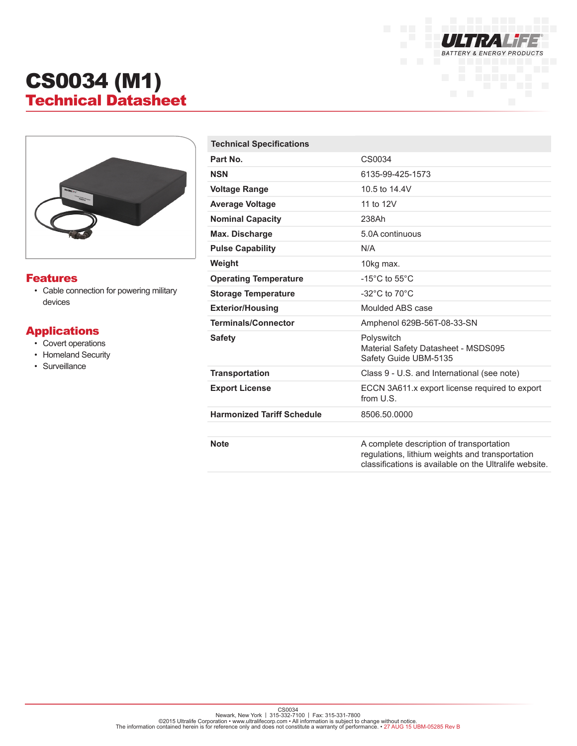

## CS0034 (M1) Technical Datasheet



## Features

• Cable connection for powering military devices

## Applications

- Covert operations
- Homeland Security
- Surveillance

| <b>Technical Specifications</b>   |                                                                                                                                                       |
|-----------------------------------|-------------------------------------------------------------------------------------------------------------------------------------------------------|
| Part No.                          | CS0034                                                                                                                                                |
| <b>NSN</b>                        | 6135-99-425-1573                                                                                                                                      |
| <b>Voltage Range</b>              | 10.5 to 14.4V                                                                                                                                         |
| <b>Average Voltage</b>            | 11 to 12V                                                                                                                                             |
| <b>Nominal Capacity</b>           | 238Ah                                                                                                                                                 |
| Max. Discharge                    | 5.0A continuous                                                                                                                                       |
| <b>Pulse Capability</b>           | N/A                                                                                                                                                   |
| Weight                            | 10kg max.                                                                                                                                             |
| <b>Operating Temperature</b>      | -15 $^{\circ}$ C to 55 $^{\circ}$ C                                                                                                                   |
| <b>Storage Temperature</b>        | -32 $^{\circ}$ C to 70 $^{\circ}$ C                                                                                                                   |
| <b>Exterior/Housing</b>           | Moulded ABS case                                                                                                                                      |
| <b>Terminals/Connector</b>        | Amphenol 629B-56T-08-33-SN                                                                                                                            |
| <b>Safety</b>                     | Polyswitch<br>Material Safety Datasheet - MSDS095<br>Safety Guide UBM-5135                                                                            |
| <b>Transportation</b>             | Class 9 - U.S. and International (see note)                                                                                                           |
| <b>Export License</b>             | ECCN 3A611.x export license required to export<br>from U.S.                                                                                           |
| <b>Harmonized Tariff Schedule</b> | 8506.50.0000                                                                                                                                          |
| <b>Note</b>                       | A complete description of transportation<br>regulations, lithium weights and transportation<br>classifications is available on the Ultralife website. |